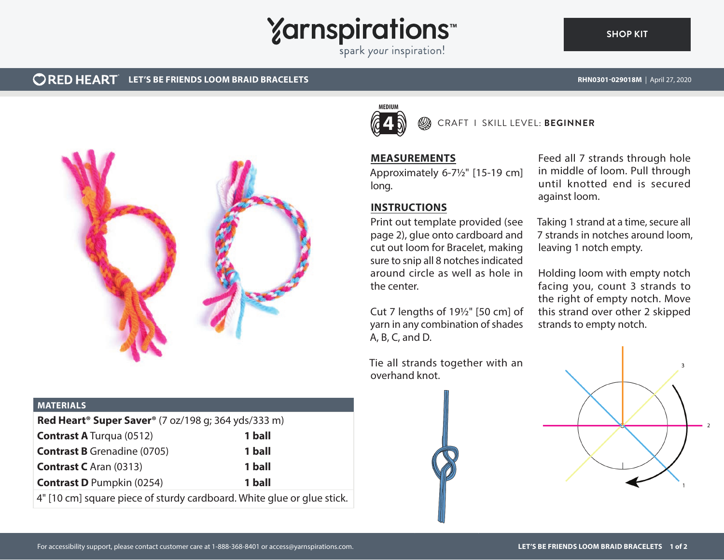

## **CORED HEART** LET'S BE FRIENDS LOOM BRAID BRACELETS **RHN0301-029018M** | April 27, 2020



#### **MATERIALS**

| <b>Red Heart<sup>®</sup> Super Saver<sup>®</sup></b> (7 oz/198 g; 364 yds/333 m) |        |
|----------------------------------------------------------------------------------|--------|
| <b>Contrast A</b> Turqua (0512)                                                  | 1 ball |
| <b>Contrast B</b> Grenadine (0705)                                               | 1 ball |
| <b>Contrast C</b> Aran (0313)                                                    | 1 ball |
| <b>Contrast D</b> Pumpkin (0254)                                                 | 1 ball |
|                                                                                  |        |

4" [10 cm] square piece of sturdy cardboard. White glue or glue stick.



## CRAFT I SKILL LEVEL: **BEGINNER**

#### **MEASUREMENTS**

Approximately 6-7½" [15-19 cm] long.

## **INSTRUCTIONS**

Print out template provided (see page 2), glue onto cardboard and cut out loom for Bracelet, making sure to snip all 8 notches indicated around circle as well as hole in the center.

Cut 7 lengths of 19½" [50 cm] of yarn in any combination of shades A, B, C, and D.

Tie all strands together with an overhand knot.



Taking 1 strand at a time, secure all 7 strands in notches around loom, leaving 1 notch empty.

Holding loom with empty notch facing you, count 3 strands to the right of empty notch. Move this strand over other 2 skipped strands to empty notch.